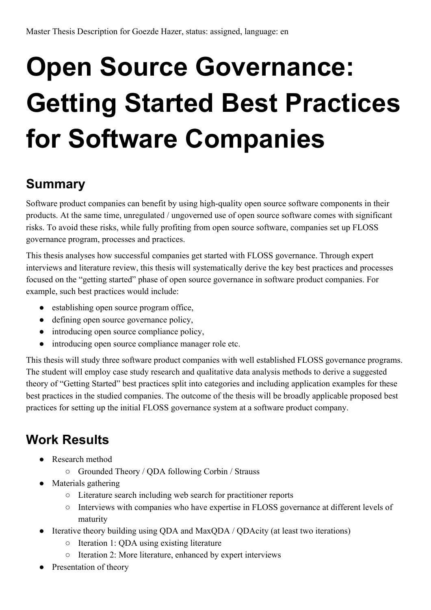## **Open Source Governance: Getting Started Best Practices for Software Companies**

## **Summary**

Software product companies can benefit by using high-quality open source software components in their products. At the same time, unregulated / ungoverned use of open source software comes with significant risks. To avoid these risks, while fully profiting from open source software, companies set up FLOSS governance program, processes and practices.

This thesis analyses how successful companies get started with FLOSS governance. Through expert interviews and literature review, this thesis will systematically derive the key best practices and processes focused on the "getting started" phase of open source governance in software product companies. For example, such best practices would include:

- establishing open source program office,
- defining open source governance policy,
- introducing open source compliance policy,
- introducing open source compliance manager role etc.

This thesis will study three software product companies with well established FLOSS governance programs. The student will employ case study research and qualitative data analysis methods to derive a suggested theory of "Getting Started" best practices split into categories and including application examples for these best practices in the studied companies. The outcome of the thesis will be broadly applicable proposed best practices for setting up the initial FLOSS governance system at a software product company.

## **Work Results**

- Research method
	- Grounded Theory / QDA following Corbin / Strauss
- Materials gathering
	- Literature search including web search for practitioner reports
	- Interviews with companies who have expertise in FLOSS governance at different levels of maturity
- Iterative theory building using QDA and MaxQDA / QDAcity (at least two iterations)
	- Iteration 1: QDA using existing literature
	- Iteration 2: More literature, enhanced by expert interviews
- Presentation of theory